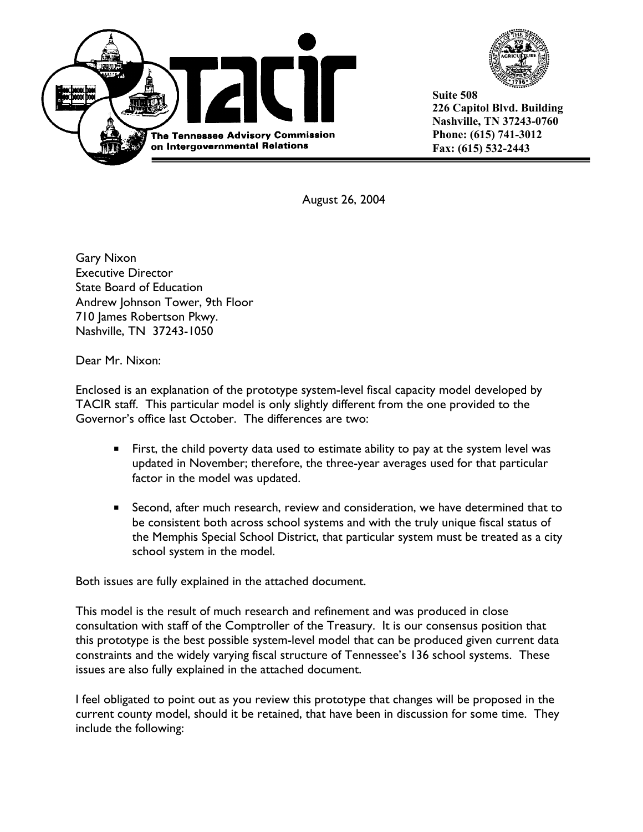



**Suite 508 226 Capitol Blvd. Building Nashville, TN 37243-0760 Phone: (615) 741-3012 Fax: (615) 532-2443** 

August 26, 2004

Gary Nixon Executive Director State Board of Education Andrew Johnson Tower, 9th Floor 710 James Robertson Pkwy. Nashville, TN 37243-1050

Dear Mr. Nixon:

Enclosed is an explanation of the prototype system-level fiscal capacity model developed by TACIR staff. This particular model is only slightly different from the one provided to the Governor's office last October. The differences are two:

- First, the child poverty data used to estimate ability to pay at the system level was updated in November; therefore, the three-year averages used for that particular factor in the model was updated.
- **Second, after much research, review and consideration, we have determined that to** be consistent both across school systems and with the truly unique fiscal status of the Memphis Special School District, that particular system must be treated as a city school system in the model.

Both issues are fully explained in the attached document.

This model is the result of much research and refinement and was produced in close consultation with staff of the Comptroller of the Treasury. It is our consensus position that this prototype is the best possible system-level model that can be produced given current data constraints and the widely varying fiscal structure of Tennessee's 136 school systems. These issues are also fully explained in the attached document.

I feel obligated to point out as you review this prototype that changes will be proposed in the current county model, should it be retained, that have been in discussion for some time. They include the following: